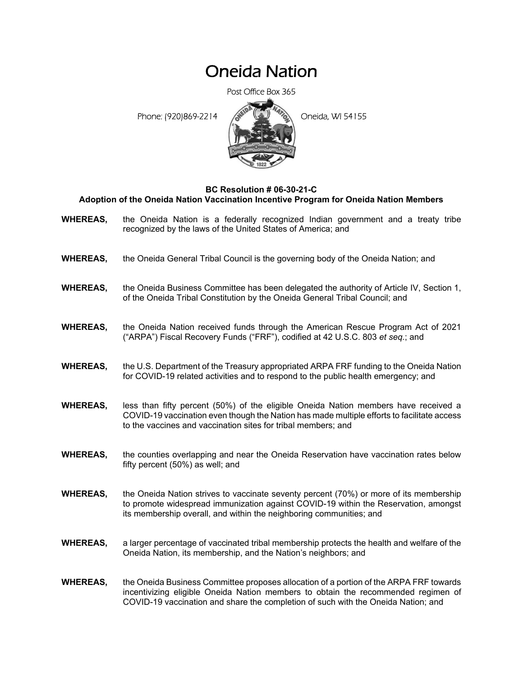## Oneida Nation

Post Office Box 365

Phone: (920)869-2214 **Contract Contract Contract Contract Contract Contract Contract Contract Contract Contract Contract Contract Contract Contract Contract Contract Contract Contract Contract Contract Contract Contract Co** 



## **BC Resolution # 06-30-21-C Adoption of the Oneida Nation Vaccination Incentive Program for Oneida Nation Members**

- **WHEREAS,** the Oneida Nation is a federally recognized Indian government and a treaty tribe recognized by the laws of the United States of America; and
- **WHEREAS,** the Oneida General Tribal Council is the governing body of the Oneida Nation; and
- **WHEREAS,** the Oneida Business Committee has been delegated the authority of Article IV, Section 1, of the Oneida Tribal Constitution by the Oneida General Tribal Council; and
- **WHEREAS,** the Oneida Nation received funds through the American Rescue Program Act of 2021 ("ARPA") Fiscal Recovery Funds ("FRF"), codified at 42 U.S.C. 803 *et seq.*; and
- **WHEREAS,** the U.S. Department of the Treasury appropriated ARPA FRF funding to the Oneida Nation for COVID-19 related activities and to respond to the public health emergency; and
- **WHEREAS,** less than fifty percent (50%) of the eligible Oneida Nation members have received a COVID-19 vaccination even though the Nation has made multiple efforts to facilitate access to the vaccines and vaccination sites for tribal members; and
- **WHEREAS,** the counties overlapping and near the Oneida Reservation have vaccination rates below fifty percent (50%) as well; and
- **WHEREAS,** the Oneida Nation strives to vaccinate seventy percent (70%) or more of its membership to promote widespread immunization against COVID-19 within the Reservation, amongst its membership overall, and within the neighboring communities; and
- **WHEREAS,** a larger percentage of vaccinated tribal membership protects the health and welfare of the Oneida Nation, its membership, and the Nation's neighbors; and
- **WHEREAS,** the Oneida Business Committee proposes allocation of a portion of the ARPA FRF towards incentivizing eligible Oneida Nation members to obtain the recommended regimen of COVID-19 vaccination and share the completion of such with the Oneida Nation; and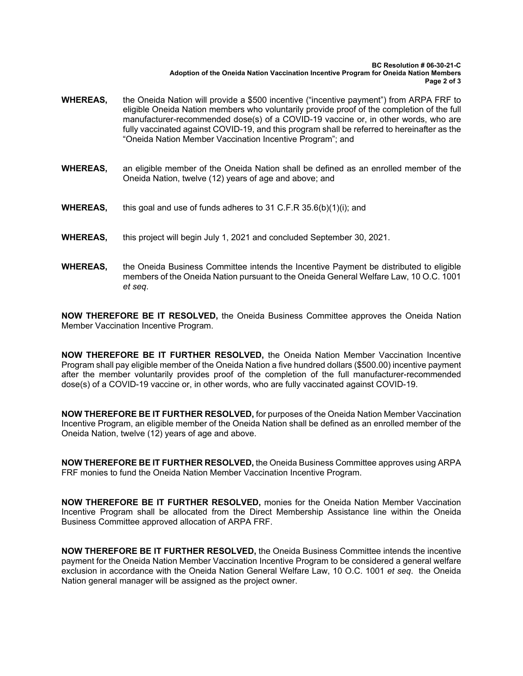**BC Resolution # 06-30-21-C Adoption of the Oneida Nation Vaccination Incentive Program for Oneida Nation Members Page 2 of 3** 

- **WHEREAS,** the Oneida Nation will provide a \$500 incentive ("incentive payment") from ARPA FRF to eligible Oneida Nation members who voluntarily provide proof of the completion of the full manufacturer-recommended dose(s) of a COVID-19 vaccine or, in other words, who are fully vaccinated against COVID-19, and this program shall be referred to hereinafter as the "Oneida Nation Member Vaccination Incentive Program"; and
- **WHEREAS,** an eligible member of the Oneida Nation shall be defined as an enrolled member of the Oneida Nation, twelve (12) years of age and above; and
- **WHEREAS,** this goal and use of funds adheres to 31 C.F.R 35.6(b)(1)(i); and
- **WHEREAS,** this project will begin July 1, 2021 and concluded September 30, 2021.
- **WHEREAS,** the Oneida Business Committee intends the Incentive Payment be distributed to eligible members of the Oneida Nation pursuant to the Oneida General Welfare Law, 10 O.C. 1001 *et seq*.

**NOW THEREFORE BE IT RESOLVED,** the Oneida Business Committee approves the Oneida Nation Member Vaccination Incentive Program.

**NOW THEREFORE BE IT FURTHER RESOLVED,** the Oneida Nation Member Vaccination Incentive Program shall pay eligible member of the Oneida Nation a five hundred dollars (\$500.00) incentive payment after the member voluntarily provides proof of the completion of the full manufacturer-recommended dose(s) of a COVID-19 vaccine or, in other words, who are fully vaccinated against COVID-19.

**NOW THEREFORE BE IT FURTHER RESOLVED,** for purposes of the Oneida Nation Member Vaccination Incentive Program, an eligible member of the Oneida Nation shall be defined as an enrolled member of the Oneida Nation, twelve (12) years of age and above.

**NOW THEREFORE BE IT FURTHER RESOLVED,** the Oneida Business Committee approves using ARPA FRF monies to fund the Oneida Nation Member Vaccination Incentive Program.

**NOW THEREFORE BE IT FURTHER RESOLVED,** monies for the Oneida Nation Member Vaccination Incentive Program shall be allocated from the Direct Membership Assistance line within the Oneida Business Committee approved allocation of ARPA FRF.

**NOW THEREFORE BE IT FURTHER RESOLVED,** the Oneida Business Committee intends the incentive payment for the Oneida Nation Member Vaccination Incentive Program to be considered a general welfare exclusion in accordance with the Oneida Nation General Welfare Law, 10 O.C. 1001 *et seq*. the Oneida Nation general manager will be assigned as the project owner.